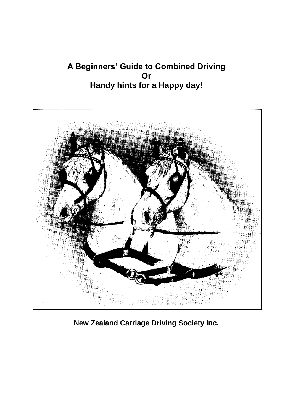# **A Beginners' Guide to Combined Driving Or Handy hints for a Happy day!**



**New Zealand Carriage Driving Society Inc.**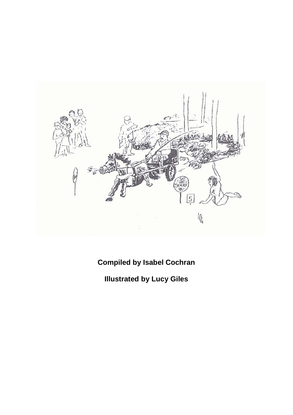

**Compiled by Isabel Cochran**

**Illustrated by Lucy Giles**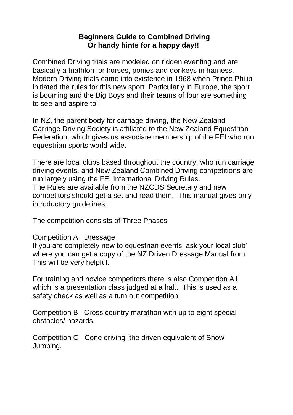#### **Beginners Guide to Combined Driving Or handy hints for a happy day!!**

Combined Driving trials are modeled on ridden eventing and are basically a triathlon for horses, ponies and donkeys in harness. Modern Driving trials came into existence in 1968 when Prince Philip initiated the rules for this new sport. Particularly in Europe, the sport is booming and the Big Boys and their teams of four are something to see and aspire to!!

In NZ, the parent body for carriage driving, the New Zealand Carriage Driving Society is affiliated to the New Zealand Equestrian Federation, which gives us associate membership of the FEI who run equestrian sports world wide.

There are local clubs based throughout the country, who run carriage driving events, and New Zealand Combined Driving competitions are run largely using the FEI International Driving Rules. The Rules are available from the NZCDS Secretary and new competitors should get a set and read them. This manual gives only introductory guidelines.

The competition consists of Three Phases

### Competition A Dressage

If you are completely new to equestrian events, ask your local club' where you can get a copy of the NZ Driven Dressage Manual from. This will be very helpful.

For training and novice competitors there is also Competition A1 which is a presentation class judged at a halt. This is used as a safety check as well as a turn out competition

Competition B Cross country marathon with up to eight special obstacles/ hazards.

Competition C Cone driving the driven equivalent of Show Jumping.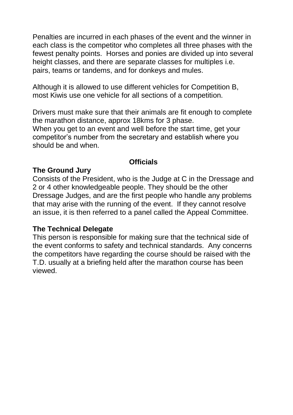Penalties are incurred in each phases of the event and the winner in each class is the competitor who completes all three phases with the fewest penalty points. Horses and ponies are divided up into several height classes, and there are separate classes for multiples i.e. pairs, teams or tandems, and for donkeys and mules.

Although it is allowed to use different vehicles for Competition B, most Kiwis use one vehicle for all sections of a competition.

Drivers must make sure that their animals are fit enough to complete the marathon distance, approx 18kms for 3 phase.

When you get to an event and well before the start time, get your competitor's number from the secretary and establish where you should be and when.

## **Officials**

## **The Ground Jury**

Consists of the President, who is the Judge at C in the Dressage and 2 or 4 other knowledgeable people. They should be the other Dressage Judges, and are the first people who handle any problems that may arise with the running of the event. If they cannot resolve an issue, it is then referred to a panel called the Appeal Committee.

### **The Technical Delegate**

This person is responsible for making sure that the technical side of the event conforms to safety and technical standards. Any concerns the competitors have regarding the course should be raised with the T.D. usually at a briefing held after the marathon course has been viewed.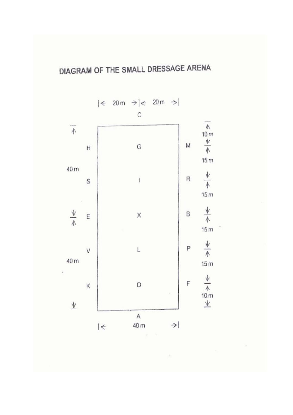

 $\frac{1}{2}$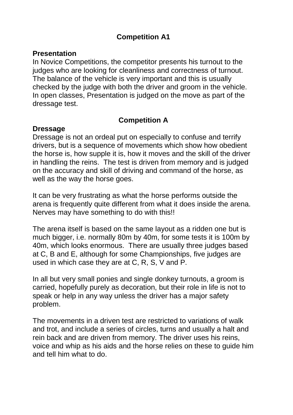# **Competition A1**

#### **Presentation**

In Novice Competitions, the competitor presents his turnout to the judges who are looking for cleanliness and correctness of turnout. The balance of the vehicle is very important and this is usually checked by the judge with both the driver and groom in the vehicle. In open classes, Presentation is judged on the move as part of the dressage test.

## **Competition A**

#### **Dressage**

Dressage is not an ordeal put on especially to confuse and terrify drivers, but is a sequence of movements which show how obedient the horse is, how supple it is, how it moves and the skill of the driver in handling the reins. The test is driven from memory and is judged on the accuracy and skill of driving and command of the horse, as well as the way the horse goes.

It can be very frustrating as what the horse performs outside the arena is frequently quite different from what it does inside the arena. Nerves may have something to do with this!!

The arena itself is based on the same layout as a ridden one but is much bigger, i.e. normally 80m by 40m, for some tests it is 100m by 40m, which looks enormous. There are usually three judges based at C, B and E, although for some Championships, five judges are used in which case they are at C, R, S, V and P.

In all but very small ponies and single donkey turnouts, a groom is carried, hopefully purely as decoration, but their role in life is not to speak or help in any way unless the driver has a major safety problem.

The movements in a driven test are restricted to variations of walk and trot, and include a series of circles, turns and usually a halt and rein back and are driven from memory. The driver uses his reins, voice and whip as his aids and the horse relies on these to guide him and tell him what to do.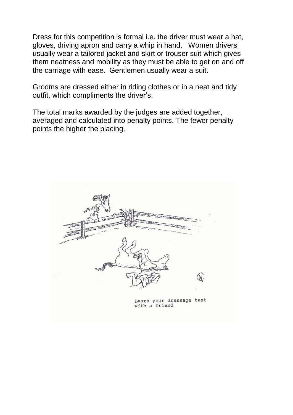Dress for this competition is formal i.e. the driver must wear a hat, gloves, driving apron and carry a whip in hand. Women drivers usually wear a tailored jacket and skirt or trouser suit which gives them neatness and mobility as they must be able to get on and off the carriage with ease. Gentlemen usually wear a suit.

Grooms are dressed either in riding clothes or in a neat and tidy outfit, which compliments the driver's.

The total marks awarded by the judges are added together, averaged and calculated into penalty points. The fewer penalty points the higher the placing.

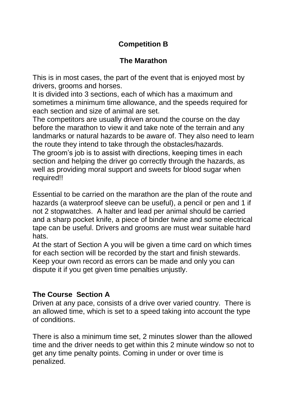# **Competition B**

# **The Marathon**

This is in most cases, the part of the event that is enjoyed most by drivers, grooms and horses.

It is divided into 3 sections, each of which has a maximum and sometimes a minimum time allowance, and the speeds required for each section and size of animal are set.

The competitors are usually driven around the course on the day before the marathon to view it and take note of the terrain and any landmarks or natural hazards to be aware of. They also need to learn the route they intend to take through the obstacles/hazards. The groom's job is to assist with directions, keeping times in each section and helping the driver go correctly through the hazards, as well as providing moral support and sweets for blood sugar when required!!

Essential to be carried on the marathon are the plan of the route and hazards (a waterproof sleeve can be useful), a pencil or pen and 1 if not 2 stopwatches. A halter and lead per animal should be carried and a sharp pocket knife, a piece of binder twine and some electrical tape can be useful. Drivers and grooms are must wear suitable hard hats.

At the start of Section A you will be given a time card on which times for each section will be recorded by the start and finish stewards. Keep your own record as errors can be made and only you can dispute it if you get given time penalties unjustly.

## **The Course Section A**

Driven at any pace, consists of a drive over varied country. There is an allowed time, which is set to a speed taking into account the type of conditions.

There is also a minimum time set, 2 minutes slower than the allowed time and the driver needs to get within this 2 minute window so not to get any time penalty points. Coming in under or over time is penalized.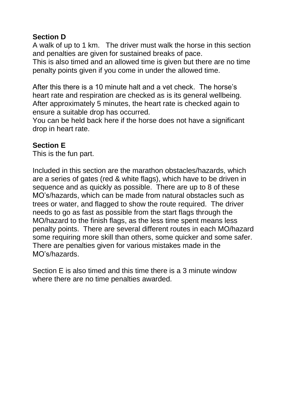# **Section D**

A walk of up to 1 km. The driver must walk the horse in this section and penalties are given for sustained breaks of pace.

This is also timed and an allowed time is given but there are no time penalty points given if you come in under the allowed time.

After this there is a 10 minute halt and a vet check. The horse's heart rate and respiration are checked as is its general wellbeing. After approximately 5 minutes, the heart rate is checked again to ensure a suitable drop has occurred.

You can be held back here if the horse does not have a significant drop in heart rate.

## **Section E**

This is the fun part.

Included in this section are the marathon obstacles/hazards, which are a series of gates (red & white flags), which have to be driven in sequence and as quickly as possible. There are up to 8 of these MO's/hazards, which can be made from natural obstacles such as trees or water, and flagged to show the route required. The driver needs to go as fast as possible from the start flags through the MO/hazard to the finish flags, as the less time spent means less penalty points. There are several different routes in each MO/hazard some requiring more skill than others, some quicker and some safer. There are penalties given for various mistakes made in the MO's/hazards.

Section E is also timed and this time there is a 3 minute window where there are no time penalties awarded.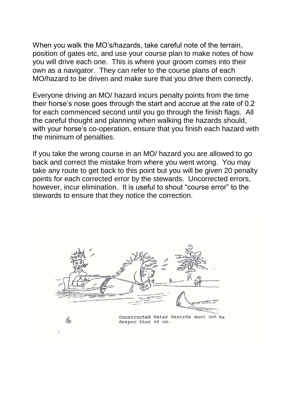When you walk the MO's/hazards, take careful note of the terrain, position of gates etc, and use your course plan to make notes of how you will drive each one. This is where your groom comes into their own as a navigator. They can refer to the course plans of each MO/hazard to be driven and make sure that you drive them correctly.

Everyone driving an MO/ hazard incurs penalty points from the time their horse's nose goes through the start and accrue at the rate of 0.2 for each commenced second until you go through the finish flags. All the careful thought and planning when walking the hazards should, with your horse's co-operation, ensure that you finish each hazard with the minimum of penalties.

If you take the wrong course in an MO/ hazard you are allowed to go back and correct the mistake from where you went wrong. You may take any route to get back to this point but you will be given 20 penalty points for each corrected error by the stewards. Uncorrected errors, however, incur elimination. It is useful to shout "course error" to the stewards to ensure that they notice the correction.

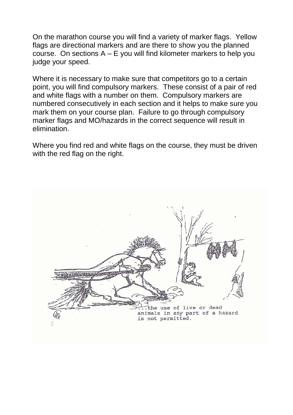On the marathon course you will find a variety of marker flags. Yellow flags are directional markers and are there to show you the planned course. On sections  $A - E$  you will find kilometer markers to help you judge your speed.

Where it is necessary to make sure that competitors go to a certain point, you will find compulsory markers. These consist of a pair of red and white flags with a number on them. Compulsory markers are numbered consecutively in each section and it helps to make sure you mark them on your course plan. Failure to go through compulsory marker flags and MO/hazards in the correct sequence will result in elimination.

Where you find red and white flags on the course, they must be driven with the red flag on the right.

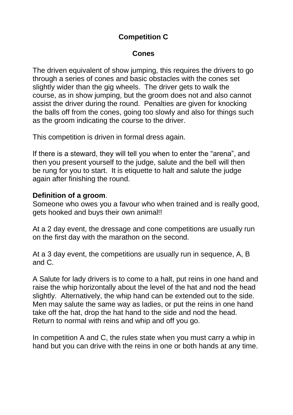# **Competition C**

## **Cones**

The driven equivalent of show jumping, this requires the drivers to go through a series of cones and basic obstacles with the cones set slightly wider than the gig wheels. The driver gets to walk the course, as in show jumping, but the groom does not and also cannot assist the driver during the round. Penalties are given for knocking the balls off from the cones, going too slowly and also for things such as the groom indicating the course to the driver.

This competition is driven in formal dress again.

If there is a steward, they will tell you when to enter the "arena", and then you present yourself to the judge, salute and the bell will then be rung for you to start. It is etiquette to halt and salute the judge again after finishing the round.

### **Definition of a groom**.

Someone who owes you a favour who when trained and is really good, gets hooked and buys their own animal!!

At a 2 day event, the dressage and cone competitions are usually run on the first day with the marathon on the second.

At a 3 day event, the competitions are usually run in sequence, A, B and C.

A Salute for lady drivers is to come to a halt, put reins in one hand and raise the whip horizontally about the level of the hat and nod the head slightly. Alternatively, the whip hand can be extended out to the side. Men may salute the same way as ladies, or put the reins in one hand take off the hat, drop the hat hand to the side and nod the head. Return to normal with reins and whip and off you go.

In competition A and C, the rules state when you must carry a whip in hand but you can drive with the reins in one or both hands at any time.